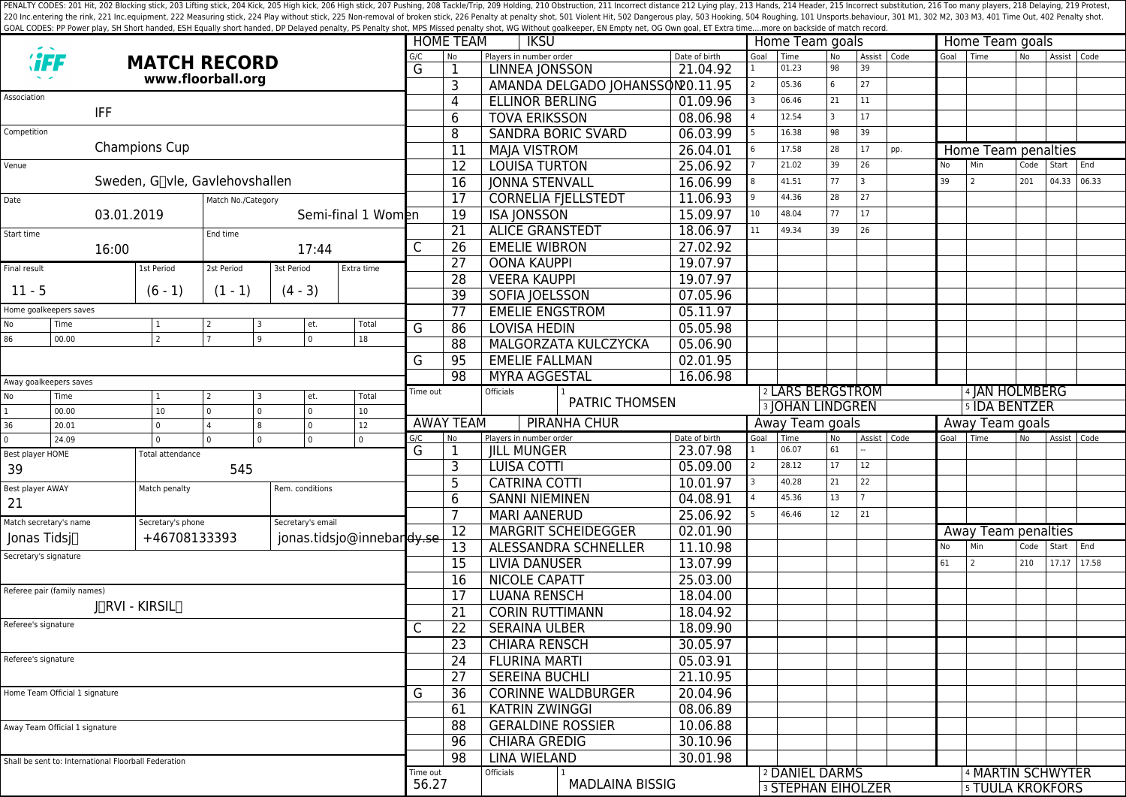PENALTY CODES: 201 Hit, 202 Blocking stick, 203 Lifting stick, 204 Kick, 204 Kick, 205 High kick, 204 Kick, 205 High kick, 206 High stick, 206 High stick, 206 High stick, 206 High stick, 207 Pushing, 208 Tackle/Trip, 209 H 220 Inc.entering the rink, 221 Inc.equipment, 222 Measuring stick, 224 Play without stick, 225 Non-removal of broken stick, 225 Poralty shot, 501 Violent Hit, 502 Dangerous play, 503 Hooking, 504 Roughing, 101 Unsports.beh GOAL CODES: PP Power play, SH Short handed, ESH Equally short handed, DP Delayed penalty, PS Penalty shot, MPS Missed penalty shot, WG Without goalkeeper, EN Empty net, OG Own goal, ET Extra time....more on backside of mat

|                                                                  |                                                      |                     |                   |                 |                       |                           |                          |                                              | <b>HOME TEAM</b><br><b>IKSU</b>                    |                                  |                           | Home Team goals             |                |                 |                     |               | Home Team goals   |                            |           |             |       |
|------------------------------------------------------------------|------------------------------------------------------|---------------------|-------------------|-----------------|-----------------------|---------------------------|--------------------------|----------------------------------------------|----------------------------------------------------|----------------------------------|---------------------------|-----------------------------|----------------|-----------------|---------------------|---------------|-------------------|----------------------------|-----------|-------------|-------|
|                                                                  |                                                      | <b>MATCH RECORD</b> |                   |                 |                       |                           |                          | <b>No</b>                                    | Players in number order                            |                                  | Date of birth             | Goal                        | Time<br>01.23  | <b>No</b><br>98 | Assist   Code<br>39 |               | Goal              | l Time                     | <b>No</b> | Assist Code |       |
|                                                                  |                                                      |                     | www.floorball.org |                 |                       |                           | G                        | 1                                            | <b>LINNEA JONSSON</b>                              |                                  | 21.04.92                  |                             | 05.36          | 6               | 27                  |               |                   |                            |           |             |       |
| Association                                                      |                                                      |                     |                   |                 |                       |                           |                          | 3                                            |                                                    | AMANDA DELGADO JOHANSSON20.11.95 | 01.09.96                  |                             | 06.46          | 21              | 11                  |               |                   |                            |           |             |       |
|                                                                  | <b>IFF</b>                                           |                     |                   |                 |                       |                           |                          | 4                                            | <b>ELLINOR BERLING</b><br><b>TOVA ERIKSSON</b>     |                                  |                           | 12.54                       | $\overline{3}$ | 17              |                     |               |                   |                            |           |             |       |
|                                                                  |                                                      |                     |                   |                 |                       |                           |                          | 6                                            |                                                    | 08.06.98                         |                           |                             | 98             | 39              |                     |               |                   |                            |           |             |       |
| Competition<br>Champions Cup                                     |                                                      |                     |                   |                 |                       |                           |                          | 8                                            |                                                    | <b>SANDRA BORIC SVARD</b>        | 06.03.99                  |                             | 16.38          |                 |                     |               |                   |                            |           |             |       |
|                                                                  |                                                      |                     |                   |                 |                       |                           |                          | 11                                           | <b>MAJA VISTROM</b>                                |                                  | 26.04.01                  |                             | 17.58          | 28              | 17                  | pp.           |                   | Home Team penalties<br>Min |           | Start       | End   |
| Venue                                                            |                                                      |                     |                   |                 |                       |                           |                          | 12                                           | <b>LOUISA TURTON</b>                               |                                  | 25.06.92                  |                             | 21.02          | 39              | 26<br>3             |               | No                | $\overline{2}$             | Code      |             |       |
| Sweden, G∏vle, Gavlehovshallen                                   |                                                      |                     |                   |                 |                       |                           |                          | 16                                           | <b>JONNA STENVALL</b>                              |                                  | 16.06.99                  |                             | 41.51          | 77              |                     |               | 39                |                            | 201       | 04.33       | 06.33 |
| Date<br>Match No./Category                                       |                                                      |                     |                   |                 |                       |                           | 17                       |                                              | <b>CORNELIA FJELLSTEDT</b>                         | 11.06.93                         |                           | 44.36                       | 28             | 27              |                     |               |                   |                            |           |             |       |
| 03.01.2019<br>Semi-final 1 Women                                 |                                                      |                     |                   |                 |                       |                           | 19                       | <b>ISA JONSSON</b>                           |                                                    | 15.09.97                         | 10 <sup>°</sup>           | 48.04                       | 77             | 17              |                     |               |                   |                            |           |             |       |
| Start time                                                       |                                                      |                     | End time          |                 |                       |                           |                          | $\overline{21}$                              | <b>ALICE GRANSTEDT</b>                             |                                  | 18.06.97                  | 11                          | 49.34          | 39              | 26                  |               |                   |                            |           |             |       |
|                                                                  | 16:00                                                |                     |                   | 17:44           |                       |                           | C                        | 26                                           | <b>EMELIE WIBRON</b>                               |                                  | 27.02.92                  |                             |                |                 |                     |               |                   |                            |           |             |       |
| Final result                                                     |                                                      | 1st Period          | 2st Period        | 3st Period      |                       | Extra time                |                          | $\overline{27}$                              | <b>OONA KAUPPI</b>                                 |                                  | 19.07.97                  |                             |                |                 |                     |               |                   |                            |           |             |       |
| $11 - 5$                                                         |                                                      | $(6 - 1)$           | $(1 - 1)$         | $(4 - 3)$       |                       |                           |                          | 28                                           | <b>VEERA KAUPPI</b>                                |                                  | 19.07.97<br>07.05.96      |                             |                |                 |                     |               |                   |                            |           |             |       |
|                                                                  |                                                      |                     |                   |                 |                       |                           |                          | 39                                           |                                                    | SOFIA JOELSSON                   |                           |                             |                |                 |                     |               |                   |                            |           |             |       |
| Home goalkeepers saves                                           |                                                      |                     |                   |                 |                       |                           | 77                       | <b>EMELIE ENGSTROM</b>                       |                                                    | 05.11.97                         |                           |                             |                |                 |                     |               |                   |                            |           |             |       |
| No<br>86                                                         | Time<br>00.00                                        | 1<br>$\overline{2}$ |                   | 9               | et.<br>$\overline{0}$ | Total<br>18               | G                        | 86                                           | <b>LOVISA HEDIN</b>                                |                                  | 05.05.98                  |                             |                |                 |                     |               |                   |                            |           |             |       |
|                                                                  |                                                      |                     |                   |                 |                       |                           |                          | 88                                           |                                                    | MALGORZATA KULCZYCKA             | 05.06.90                  |                             |                |                 |                     |               |                   |                            |           |             |       |
|                                                                  |                                                      |                     |                   |                 |                       | G                         | 95                       | <b>EMELIE FALLMAN</b>                        |                                                    | 02.01.95                         |                           |                             |                |                 |                     |               |                   |                            |           |             |       |
| Away goalkeepers saves                                           |                                                      |                     |                   |                 |                       |                           |                          | 98                                           | <b>MYRA AGGESTAL</b>                               |                                  | 16.06.98                  |                             |                |                 |                     |               |                   |                            |           |             |       |
| No                                                               | Time                                                 | $\vert$ 1           | $\overline{2}$    |                 | et.                   | Total                     | Time out                 |                                              | Officials<br><b>PATRIC THOMSEN</b>                 |                                  |                           | <sup>2</sup> LARS BERGSTROM |                |                 |                     |               |                   | 4 JAN HOLMBERG             |           |             |       |
| $\mathbf{1}$                                                     | 00.00                                                | 10                  | $\Omega$          | $\Omega$        | $\overline{0}$        | 10 <sup>°</sup>           |                          |                                              |                                                    |                                  | <b>3 JOHAN LINDGREN</b>   |                             |                |                 |                     | 5 IDA BENTZER |                   |                            |           |             |       |
| 36                                                               | 20.01                                                | I٥                  | $\overline{4}$    | 8               | $\overline{0}$        | 12                        |                          | <b>AWAY TEAM</b>                             | <b>PIRANHA CHUR</b>                                |                                  |                           | Away Team goals             |                |                 |                     |               | Away Team goals   |                            |           |             |       |
| $\mathbf{0}$<br>24.09                                            |                                                      | I٥                  | $\Omega$          | $\mathbf{0}$    | $\overline{0}$        | $\Omega$                  | G/C<br>G                 | N <sub>o</sub><br>1                          | Players in number order<br><b>JILL MUNGER</b>      |                                  | Date of birth<br>23.07.98 | Goal                        | Time<br>06.07  | No<br>61        | Assist   Code       |               | Goal              | l Time                     | No.       | Assist Code |       |
| Best player HOME                                                 |                                                      | Total attendance    |                   |                 |                       |                           |                          | 3                                            | <b>LUISA COTTI</b>                                 |                                  | 05.09.00                  |                             | 28.12          | 17              | 12                  |               |                   |                            |           |             |       |
| 39                                                               |                                                      |                     | 545               |                 |                       |                           |                          | 5                                            | <b>CATRINA COTTI</b>                               |                                  | 10.01.97                  |                             | 40.28          | 21              | 22                  |               |                   |                            |           |             |       |
| Best player AWAY                                                 |                                                      | Match penalty       |                   | Rem. conditions |                       |                           | 6                        |                                              |                                                    | 04.08.91                         |                           | 45.36                       | 13             |                 |                     |               |                   |                            |           |             |       |
| 21                                                               |                                                      |                     |                   |                 |                       |                           |                          | $\overline{7}$                               | <b>SANNI NIEMINEN</b><br><b>MARI AANERUD</b>       |                                  | 25.06.92                  |                             | 46.46          | 12              | 21                  |               |                   |                            |           |             |       |
| Match secretary's name<br>Secretary's phone<br>Secretary's email |                                                      |                     |                   |                 |                       |                           | 02.01.90                 |                                              |                                                    |                                  |                           |                             |                |                 |                     |               |                   |                            |           |             |       |
| Jonas Tidsi∏                                                     |                                                      | +46708133393        |                   |                 |                       | jonas.tidsjo@innebardy.se |                          | 12<br>13                                     | <b>MARGRIT SCHEIDEGGER</b><br>ALESSANDRA SCHNELLER |                                  | 11.10.98                  |                             |                |                 |                     |               | No                | Away Team penalties<br>Min | Code      | Start End   |       |
| Secretary's signature                                            |                                                      |                     |                   |                 | $\overline{15}$       | <b>LIVIA DANUSER</b>      |                          | 13.07.99                                     |                                                    |                                  |                           |                             | 61             |                 |                     | 210           | 17.17 17.58       |                            |           |             |       |
|                                                                  |                                                      |                     |                   |                 |                       |                           |                          | 16                                           | <b>NICOLE CAPATT</b>                               |                                  | 25.03.00                  |                             |                |                 |                     |               |                   |                            |           |             |       |
|                                                                  | Referee pair (family names)                          |                     |                   |                 |                       |                           |                          |                                              |                                                    |                                  |                           |                             |                |                 |                     |               |                   |                            |           |             |       |
| <b>INRVI - KIRSILN</b>                                           |                                                      |                     |                   |                 |                       |                           |                          | 17                                           | <b>LUANA RENSCH</b><br><b>CORIN RUTTIMANN</b>      |                                  | 18.04.00                  |                             |                |                 |                     |               |                   |                            |           |             |       |
| Referee's signature<br>Referee's signature                       |                                                      |                     |                   |                 |                       |                           | 21                       |                                              | 18.04.92                                           |                                  |                           |                             |                |                 |                     |               |                   |                            |           |             |       |
|                                                                  |                                                      |                     |                   |                 |                       | C                         | $\overline{22}$          | <b>SERAINA ULBER</b>                         | 18.09.90                                           |                                  |                           |                             |                |                 |                     |               |                   |                            |           |             |       |
|                                                                  |                                                      |                     |                   |                 |                       |                           | 23                       | <b>CHIARA RENSCH</b><br><b>FLURINA MARTI</b> |                                                    | 30.05.97                         |                           |                             |                |                 |                     |               |                   |                            |           |             |       |
|                                                                  |                                                      |                     |                   |                 |                       |                           | 24                       |                                              |                                                    | 05.03.91                         |                           |                             |                |                 |                     |               |                   |                            |           |             |       |
|                                                                  |                                                      |                     |                   |                 |                       |                           |                          | 27                                           | <b>SEREINA BUCHLI</b>                              | 21.10.95                         |                           |                             |                |                 |                     |               |                   |                            |           |             |       |
| Home Team Official 1 signature                                   |                                                      |                     |                   |                 |                       |                           | G                        | 36                                           | <b>CORINNE WALDBURGER</b><br><b>KATRIN ZWINGGI</b> |                                  | 20.04.96                  |                             |                |                 |                     |               |                   |                            |           |             |       |
|                                                                  |                                                      |                     |                   |                 |                       |                           |                          | 61                                           |                                                    |                                  | 08.06.89                  |                             |                |                 |                     |               |                   |                            |           |             |       |
| Away Team Official 1 signature                                   |                                                      |                     |                   |                 |                       | 88                        | <b>GERALDINE ROSSIER</b> | 10.06.88                                     |                                                    |                                  |                           |                             |                |                 |                     |               |                   |                            |           |             |       |
|                                                                  |                                                      |                     |                   |                 |                       | 96                        | <b>CHIARA GREDIG</b>     |                                              | 30.10.96                                           |                                  |                           |                             |                |                 |                     |               |                   |                            |           |             |       |
|                                                                  | Shall be sent to: International Floorball Federation |                     |                   |                 |                       |                           |                          | 98                                           | <b>LINA WIELAND</b>                                |                                  | 30.01.98                  |                             |                |                 |                     |               |                   |                            |           |             |       |
|                                                                  |                                                      |                     |                   |                 |                       |                           | Time out<br>56.27        |                                              | Officials                                          |                                  |                           | <sup>2</sup> DANIEL DARMS   |                |                 |                     |               | 4 MARTIN SCHWYTER |                            |           |             |       |
|                                                                  |                                                      |                     |                   |                 |                       |                           |                          |                                              |                                                    | <b>MADLAINA BISSIG</b>           |                           | <b>3 STEPHAN EIHOLZER</b>   |                |                 |                     |               |                   | <b>5 TUULA KROKFORS</b>    |           |             |       |